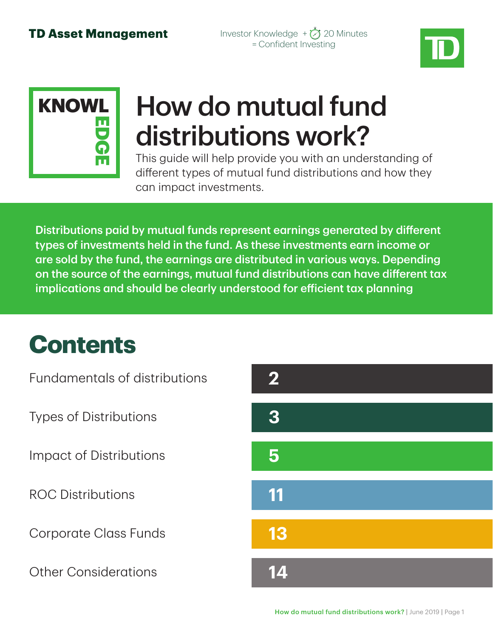



# How do mutual fund distributions work?

This guide will help provide you with an understanding of different types of mutual fund distributions and how they can impact investments.

Distributions paid by mutual funds represent earnings generated by different types of investments held in the fund. As these investments earn income or are sold by the fund, the earnings are distributed in various ways. Depending on the source of the earnings, mutual fund distributions can have different tax implications and should be clearly understood for efficient tax planning

## **Contents**

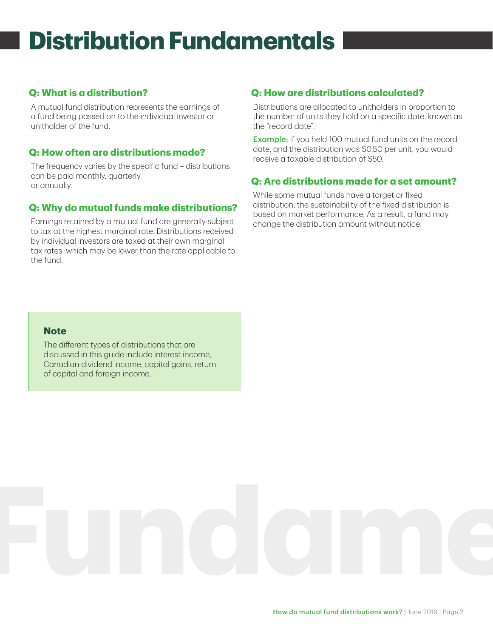# **Distribution Fundamentals**

#### **Q: What is a distribution?**

A mutual fund distribution represents the earnings of a fund being passed on to the individual investor or unitholder of the fund.

#### **Q: How often are distributions made?**

The frequency varies by the specific fund – distributions can be paid monthly, quarterly, or annually.

#### **Q: Why do mutual funds make distributions?**

Earnings retained by a mutual fund are generally subject to tax at the highest marginal rate. Distributions received by individual investors are taxed at their own marginal tax rates, which may be lower than the rate applicable to the fund.

#### **Q: How are distributions calculated?**

Distributions are allocated to unitholders in proportion to the number of units they hold on a specific date, known as the "record date".

**Example:** If you held 100 mutual fund units on the record date, and the distribution was \$0.50 per unit, you would receive a taxable distribution of \$50.

#### **Q: Are distributions made for a set amount?**

While some mutual funds have a target or fixed distribution, the sustainability of the fixed distribution is based on market performance. As a result, a fund may change the distribution amount without notice.

#### **Note**

The different types of distributions that are discussed in this guide include interest income, Canadian dividend income, capital gains, return of capital and foreign income.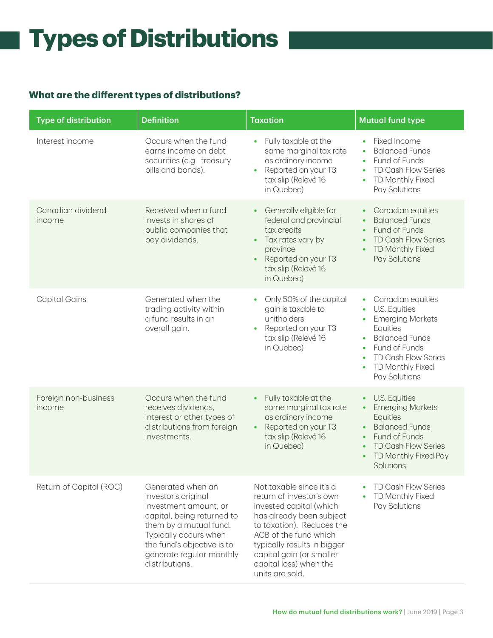# **Types of Distributions**

### **What are the different types of distributions?**

| <b>Type of distribution</b>    | <b>Definition</b>                                                                                                                                                                                                              | <b>Taxation</b>                                                                                                                                                                                                                                                           | <b>Mutual fund type</b>                                                                                                                                                                                                             |
|--------------------------------|--------------------------------------------------------------------------------------------------------------------------------------------------------------------------------------------------------------------------------|---------------------------------------------------------------------------------------------------------------------------------------------------------------------------------------------------------------------------------------------------------------------------|-------------------------------------------------------------------------------------------------------------------------------------------------------------------------------------------------------------------------------------|
| Interest income                | Occurs when the fund<br>earns income on debt<br>securities (e.g. treasury<br>bills and bonds).                                                                                                                                 | Fully taxable at the<br>$\bullet$<br>same marginal tax rate<br>as ordinary income<br>Reported on your T3<br>$\bullet$<br>tax slip (Relevé 16<br>in Quebec)                                                                                                                | Fixed Income<br><b>Balanced Funds</b><br>Fund of Funds<br>$\bullet$<br><b>TD Cash Flow Series</b><br>$\bullet$<br>TD Monthly Fixed<br>Pay Solutions                                                                                 |
| Canadian dividend<br>income    | Received when a fund<br>invests in shares of<br>public companies that<br>pay dividends.                                                                                                                                        | Generally eligible for<br>$\bullet$<br>federal and provincial<br>tax credits<br>Tax rates vary by<br>$\bullet$<br>province<br>Reported on your T3<br>$\bullet$<br>tax slip (Relevé 16<br>in Quebec)                                                                       | Canadian equities<br>$\bullet$<br><b>Balanced Funds</b><br>Fund of Funds<br><b>TD Cash Flow Series</b><br><b>TD Monthly Fixed</b><br>Pay Solutions                                                                                  |
| <b>Capital Gains</b>           | Generated when the<br>trading activity within<br>a fund results in an<br>overall gain.                                                                                                                                         | Only 50% of the capital<br>$\bullet$<br>gain is taxable to<br>unitholders<br>Reported on your T3<br>$\bullet$<br>tax slip (Relevé 16<br>in Quebec)                                                                                                                        | Canadian equities<br>$\bullet$<br>U.S. Equities<br><b>Emerging Markets</b><br>Equities<br><b>Balanced Funds</b><br>$\bullet$<br>Fund of Funds<br>$\bullet$<br>TD Cash Flow Series<br>TD Monthly Fixed<br>$\bullet$<br>Pay Solutions |
| Foreign non-business<br>income | Occurs when the fund<br>receives dividends,<br>interest or other types of<br>distributions from foreign<br>investments.                                                                                                        | Fully taxable at the<br>$\bullet$<br>same marginal tax rate<br>as ordinary income<br>Reported on your T3<br>$\bullet$<br>tax slip (Relevé 16<br>in Quebec)                                                                                                                | <b>U.S. Equities</b><br>٠<br><b>Emerging Markets</b><br>$\bullet$<br>Equities<br><b>Balanced Funds</b><br>$\bullet$<br>Fund of Funds<br>$\bullet$<br><b>TD Cash Flow Series</b><br>TD Monthly Fixed Pay<br>Solutions                |
| Return of Capital (ROC)        | Generated when an<br>investor's original<br>investment amount, or<br>capital, being returned to<br>them by a mutual fund.<br>Typically occurs when<br>the fund's objective is to<br>generate regular monthly<br>distributions. | Not taxable since it's a<br>return of investor's own<br>invested capital (which<br>has already been subject<br>to taxation). Reduces the<br>ACB of the fund which<br>typically results in bigger<br>capital gain (or smaller<br>capital loss) when the<br>units are sold. | <b>TD Cash Flow Series</b><br>TD Monthly Fixed<br>Pay Solutions                                                                                                                                                                     |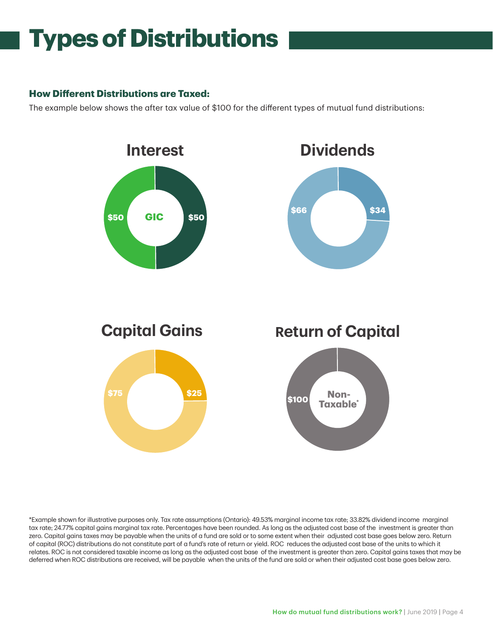## **Types of Distributions**

#### **How Different Distributions are Taxed:**

The example below shows the after tax value of \$100 for the different types of mutual fund distributions:



\*Example shown for illustrative purposes only. Tax rate assumptions (Ontario): 49.53% marginal income tax rate; 33.82% dividend income marginal tax rate; 24.77% capital gains marginal tax rate. Percentages have been rounded. As long as the adjusted cost base of the investment is greater than zero. Capital gains taxes may be payable when the units of a fund are sold or to some extent when their adjusted cost base goes below zero. Return of capital (ROC) distributions do not constitute part of a fund's rate of return or yield. ROC reduces the adjusted cost base of the units to which it relates. ROC is not considered taxable income as long as the adjusted cost base of the investment is greater than zero. Capital gains taxes that may be deferred when ROC distributions are received, will be payable when the units of the fund are sold or when their adjusted cost base goes below zero.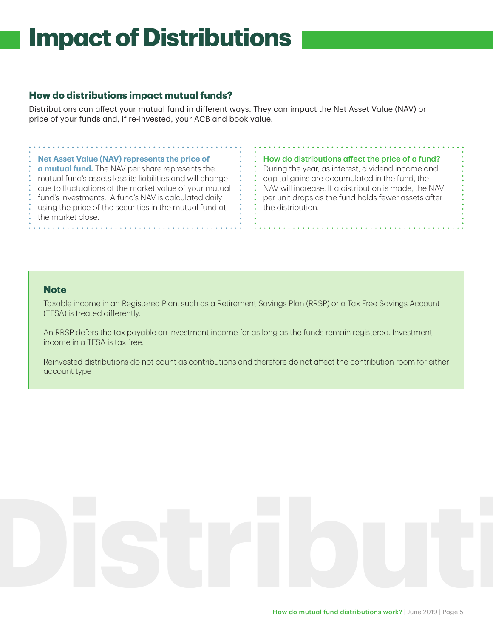#### **How do distributions impact mutual funds?**

Distributions can affect your mutual fund in different ways. They can impact the Net Asset Value (NAV) or price of your funds and, if re-invested, your ACB and book value.

#### **Net Asset Value (NAV) represents the price of**

**a mutual fund.** The NAV per share represents the mutual fund's assets less its liabilities and will change due to fluctuations of the market value of your mutual fund's investments. A fund's NAV is calculated daily using the price of the securities in the mutual fund at the market close.

How do distributions affect the price of a fund? During the year, as interest, dividend income and capital gains are accumulated in the fund, the NAV will increase. If a distribution is made, the NAV per unit drops as the fund holds fewer assets after the distribution.

#### **Note**

Taxable income in an Registered Plan, such as a Retirement Savings Plan (RRSP) or a Tax Free Savings Account (TFSA) is treated differently.

An RRSP defers the tax payable on investment income for as long as the funds remain registered. Investment income in a TFSA is tax free.

Reinvested distributions do not count as contributions and therefore do not affect the contribution room for either account type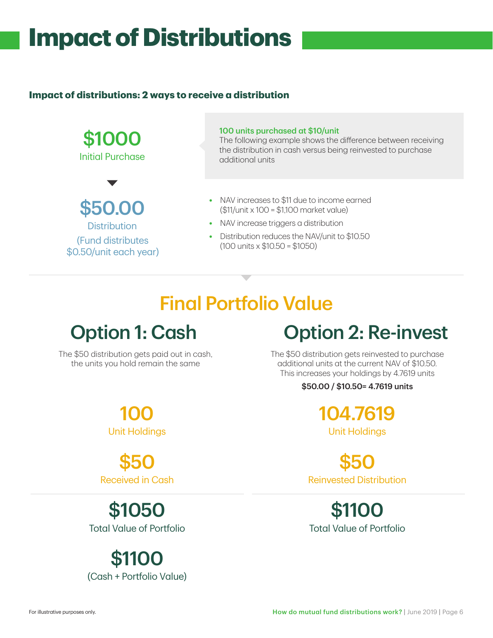#### **Impact of distributions: 2 ways to receive a distribution**



### Final Portfolio Value

### Option 1: Cash Qption 2: Re-invest

The \$50 distribution gets paid out in cash, the units you hold remain the same

The \$50 distribution gets reinvested to purchase additional units at the current NAV of \$10.50. This increases your holdings by 4.7619 units

#### \$50.00 / \$10.50= 4.7619 units

104.7619 Unit Holdings

\$50 Reinvested Distribution

\$1100 Total Value of Portfolio

100 Unit Holdings

\$50 Received in Cash

\$1050 Total Value of Portfolio

\$1100 (Cash + Portfolio Value)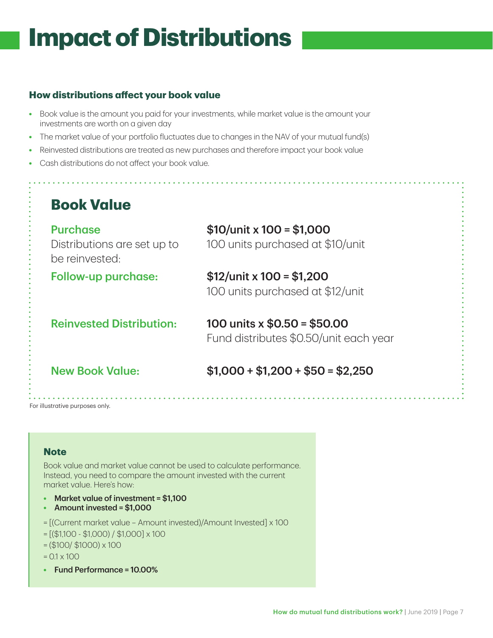#### **How distributions affect your book value**

- **•** Book value is the amount you paid for your investments, while market value is the amount your investments are worth on a given day
- **•** The market value of your portfolio fluctuates due to changes in the NAV of your mutual fund(s)
- **•** Reinvested distributions are treated as new purchases and therefore impact your book value
- **•** Cash distributions do not affect your book value.

| <b>Purchase</b>                               | $$10/$ unit x $100 = $1,000$                                           |
|-----------------------------------------------|------------------------------------------------------------------------|
| Distributions are set up to<br>be reinvested: | 100 units purchased at \$10/unit                                       |
| <b>Follow-up purchase:</b>                    | $$12$ /unit x $100 = $1,200$<br>100 units purchased at \$12/unit       |
| <b>Reinvested Distribution:</b>               | 100 units x $$0.50 = $50.00$<br>Fund distributes \$0.50/unit each year |
| <b>New Book Value:</b>                        | $$1,000 + $1,200 + $50 = $2,250$                                       |

#### **Note**

Book value and market value cannot be used to calculate performance. Instead, you need to compare the amount invested with the current market value. Here's how:

- **•** Market value of investment = \$1,100
- **•** Amount invested = \$1,000
- = [(Current market value Amount invested)/Amount Invested] x 100
- $=[($1,100 $1,000) / $1,000] \times 100$
- $=($100/ $1000) \times 100$
- $= 0.1 \times 100$
- **•** Fund Performance = 10.00%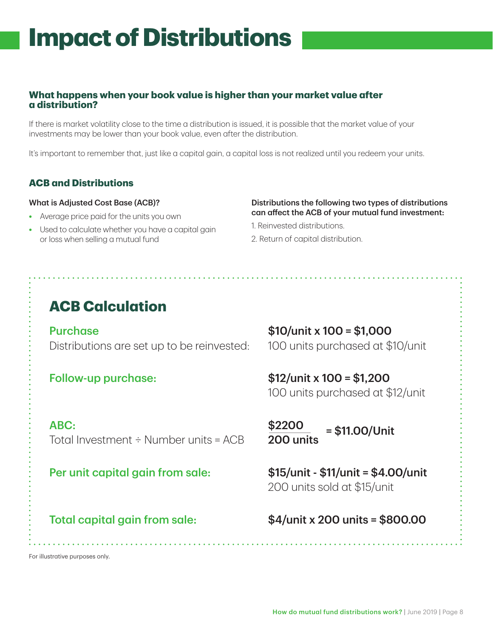#### **What happens when your book value is higher than your market value after a distribution?**

If there is market volatility close to the time a distribution is issued, it is possible that the market value of your investments may be lower than your book value, even after the distribution.

It's important to remember that, just like a capital gain, a capital loss is not realized until you redeem your units.

#### **ACB and Distributions**

#### What is Adjusted Cost Base (ACB)?

- **•** Average price paid for the units you own
- **•** Used to calculate whether you have a capital gain or loss when selling a mutual fund or loss when selling a mutual fund **Book Conservance 2.** Return of capital distribution.

#### Distributions the following two types of distributions can affect the ACB of your mutual fund investment:

- 1. Reinvested distributions.
- 

### **ACB Calculation**

Purchase Distributions are set up to be reinvested:

ABC: Total Investment  $\div$  Number units = ACB

#### Per unit capital gain from sale: \$15/unit - \$11/unit = \$4.00/unit

\$10/unit x 100 = \$1,000 100 units purchased at \$10/unit

Follow-up purchase: \$12/unit x 100 = \$1,200 100 units purchased at \$12/unit

> \$2200 200 units = \$11.00/Unit

200 units sold at \$15/unit

### Total capital gain from sale:  $$4/unit \times 200 \text{ units} = $800.00$

For illustrative purposes only.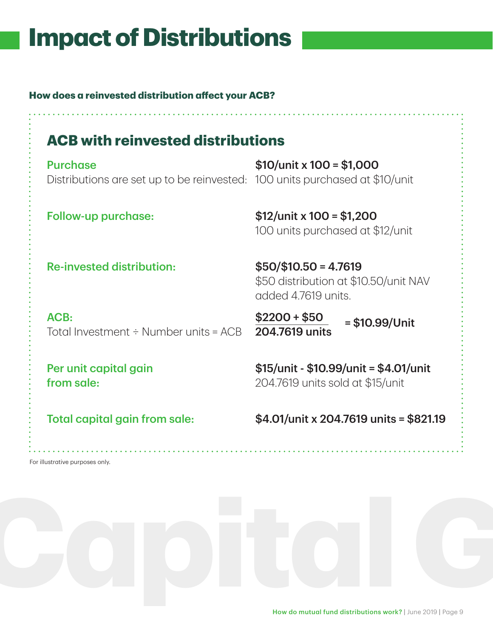**How does a reinvested distribution affect your ACB?**

### **ACB with reinvested distributions**

**Purchase** Distributions are set up to be reinvested: 100 units purchased at \$10/unit

\$10/unit x 100 = \$1,000

Follow-up purchase: \$12/unit x 100 = \$1,200 100 units purchased at \$12/unit

Re-invested distribution: \$50/\$10.50 = 4.7619

ACB: Total Investment  $\div$  Number units = ACB

Per unit capital gain from sale:

\$50 distribution at \$10.50/unit NAV added 4.7619 units.

 $$2200 + $50$ 204.7619 units = \$10.99/Unit

\$15/unit - \$10.99/unit = \$4.01/unit 204.7619 units sold at \$15/unit

Total capital gain from sale: \$4.01/unit x 204.7619 units = \$821.19

For illustrative purposes only.

How do mutual fund distributions work? | June 2019 | Page 9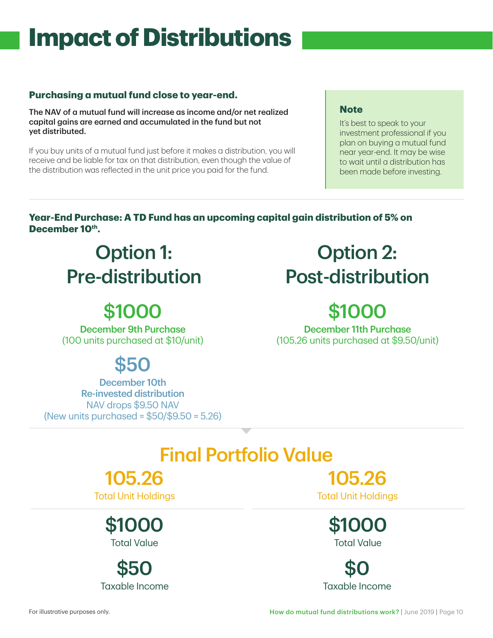#### **Purchasing a mutual fund close to year-end.**

The NAV of a mutual fund will increase as income and/or net realized capital gains are earned and accumulated in the fund but not yet distributed.

If you buy units of a mutual fund just before it makes a distribution, you will receive and be liable for tax on that distribution, even though the value of the distribution was reflected in the unit price you paid for the fund.

#### **Note**

It's best to speak to your investment professional if you plan on buying a mutual fund near year-end. It may be wise to wait until a distribution has been made before investing.

#### **Year-End Purchase: A TD Fund has an upcoming capital gain distribution of 5% on**  December 10<sup>th</sup>.

### Option 1: Pre-distribution

### \$1000

December 9th Purchase (100 units purchased at \$10/unit)

### \$50

December 10th Re-invested distribution NAV drops \$9.50 NAV (New units purchased = \$50/\$9.50 = 5.26)

### Option 2: Post-distribution

### \$1000

December 11th Purchase (105.26 units purchased at \$9.50/unit)

### Final Portfolio Value

### 105.26

Total Unit Holdings

\$1000 Total Value

\$50 Taxable Income

105.26 Total Unit Holdings

> \$1000 Total Value

\$0 Taxable Income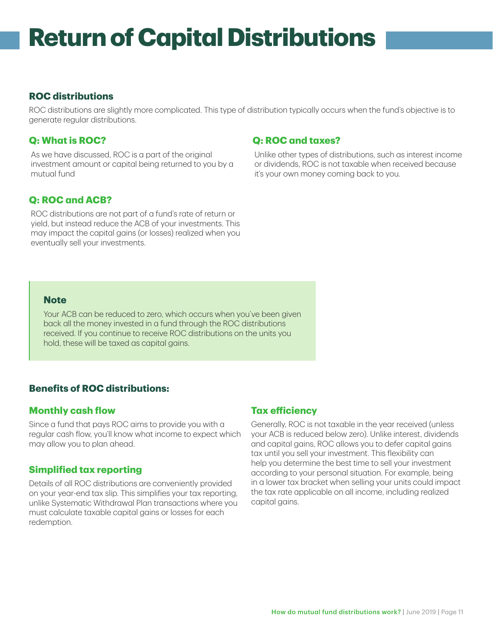## **Return of Capital Distributions**

#### **ROC distributions**

ROC distributions are slightly more complicated. This type of distribution typically occurs when the fund's objective is to generate regular distributions.

#### **Q: What is ROC?**

As we have discussed, ROC is a part of the original investment amount or capital being returned to you by a mutual fund

#### **Q: ROC and taxes?**

Unlike other types of distributions, such as interest income or dividends, ROC is not taxable when received because it's your own money coming back to you.

#### **Q: ROC and ACB?**

ROC distributions are not part of a fund's rate of return or yield, but instead reduce the ACB of your investments. This may impact the capital gains (or losses) realized when you eventually sell your investments.

#### **Note**

Your ACB can be reduced to zero, which occurs when you've been given back all the money invested in a fund through the ROC distributions received. If you continue to receive ROC distributions on the units you hold, these will be taxed as capital gains.

#### **Benefits of ROC distributions:**

#### **Monthly cash flow**

Since a fund that pays ROC aims to provide you with a regular cash flow, you'll know what income to expect which may allow you to plan ahead.

#### **Simplified tax reporting**

Details of all ROC distributions are conveniently provided on your year-end tax slip. This simplifies your tax reporting, unlike Systematic Withdrawal Plan transactions where you must calculate taxable capital gains or losses for each redemption.

#### **Tax efficiency**

Generally, ROC is not taxable in the year received (unless your ACB is reduced below zero). Unlike interest, dividends and capital gains, ROC allows you to defer capital gains tax until you sell your investment. This flexibility can help you determine the best time to sell your investment according to your personal situation. For example, being in a lower tax bracket when selling your units could impact the tax rate applicable on all income, including realized capital gains.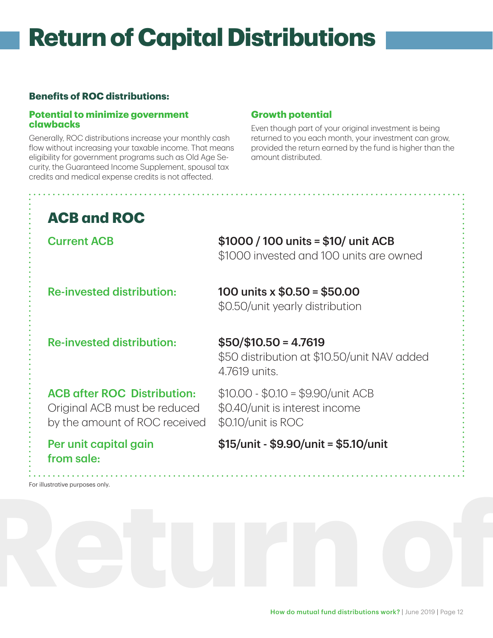## **Return of Capital Distributions**

#### **Benefits of ROC distributions:**

#### **Potential to minimize government clawbacks**

Generally, ROC distributions increase your monthly cash flow without increasing your taxable income. That means eligibility for government programs such as Old Age Security, the Guaranteed Income Supplement, spousal tax credits and medical expense credits is not affected.

#### **Growth potential**

Even though part of your original investment is being returned to you each month, your investment can grow, provided the return earned by the fund is higher than the amount distributed.

### **ACB and ROC**

Current ACB \$1000 / 100 units = \$10/ unit ACB \$1000 invested and 100 units are owned

Re-invested distribution:  $100$  units x  $$0.50 = $50.00$ \$0.50/unit yearly distribution

Re-invested distribution: \$50/\$10.50 = 4.7619

### \$50 distribution at \$10.50/unit NAV added 4.7619 units.

ACB after ROC Distribution: Original ACB must be reduced by the amount of ROC received

\$10.00 - \$0.10 = \$9.90/unit ACB \$0.40/unit is interest income \$0.10/unit is ROC

Per unit capital gain from sale:

\$15/unit - \$9.90/unit = \$5.10/unit

For illustrative purposes only.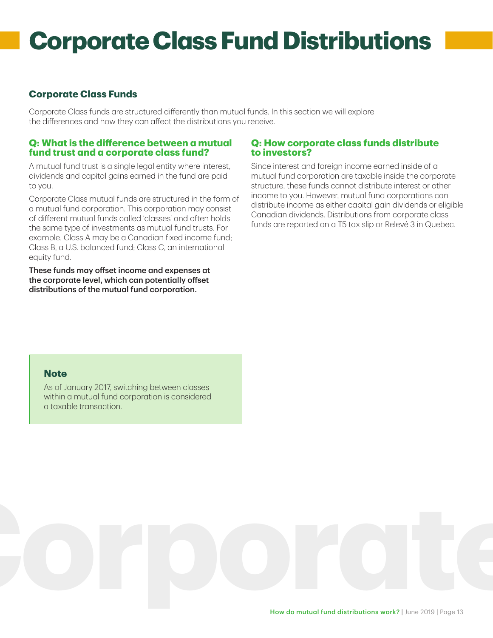## **Corporate Class Fund Distributions**

#### **Corporate Class Funds**

Corporate Class funds are structured differently than mutual funds. In this section we will explore the differences and how they can affect the distributions you receive.

#### **Q: What is the difference between a mutual fund trust and a corporate class fund?**

A mutual fund trust is a single legal entity where interest, dividends and capital gains earned in the fund are paid to you.

Corporate Class mutual funds are structured in the form of a mutual fund corporation. This corporation may consist of different mutual funds called 'classes' and often holds the same type of investments as mutual fund trusts. For example, Class A may be a Canadian fixed income fund; Class B, a U.S. balanced fund; Class C, an international equity fund.

These funds may offset income and expenses at the corporate level, which can potentially offset distributions of the mutual fund corporation.

#### **Q: How corporate class funds distribute to investors?**

Since interest and foreign income earned inside of a mutual fund corporation are taxable inside the corporate structure, these funds cannot distribute interest or other income to you. However, mutual fund corporations can distribute income as either capital gain dividends or eligible Canadian dividends. Distributions from corporate class funds are reported on a T5 tax slip or Relevé 3 in Quebec.

#### **Note**

As of January 2017, switching between classes within a mutual fund corporation is considered a taxable transaction.